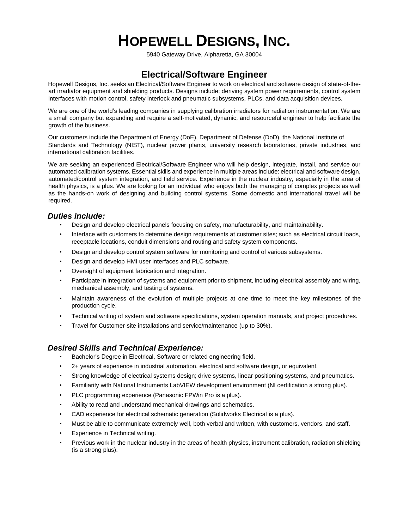# **HOPEWELL DESIGNS, INC.**

5940 Gateway Drive, Alpharetta, GA 30004

## **Electrical/Software Engineer**

Hopewell Designs, Inc. seeks an Electrical/Software Engineer to work on electrical and software design of state-of-theart irradiator equipment and shielding products. Designs include; deriving system power requirements, control system interfaces with motion control, safety interlock and pneumatic subsystems, PLCs, and data acquisition devices.

We are one of the world's leading companies in supplying calibration irradiators for radiation instrumentation. We are a small company but expanding and require a self-motivated, dynamic, and resourceful engineer to help facilitate the growth of the business.

Our customers include the Department of Energy (DoE), Department of Defense (DoD), the National Institute of Standards and Technology (NIST), nuclear power plants, university research laboratories, private industries, and international calibration facilities.

We are seeking an experienced Electrical/Software Engineer who will help design, integrate, install, and service our automated calibration systems. Essential skills and experience in multiple areas include: electrical and software design, automated/control system integration, and field service. Experience in the nuclear industry, especially in the area of health physics, is a plus. We are looking for an individual who enjoys both the managing of complex projects as well as the hands-on work of designing and building control systems. Some domestic and international travel will be required.

#### *Duties include:*

- Design and develop electrical panels focusing on safety, manufacturability, and maintainability.
- Interface with customers to determine design requirements at customer sites; such as electrical circuit loads, receptacle locations, conduit dimensions and routing and safety system components.
- Design and develop control system software for monitoring and control of various subsystems.
- Design and develop HMI user interfaces and PLC software.
- Oversight of equipment fabrication and integration.
- Participate in integration of systems and equipment prior to shipment, including electrical assembly and wiring, mechanical assembly, and testing of systems.
- Maintain awareness of the evolution of multiple projects at one time to meet the key milestones of the production cycle.
- Technical writing of system and software specifications, system operation manuals, and project procedures.
- Travel for Customer-site installations and service/maintenance (up to 30%).

#### *Desired Skills and Technical Experience:*

- Bachelor's Degree in Electrical, Software or related engineering field.
- 2+ years of experience in industrial automation, electrical and software design, or equivalent.
- Strong knowledge of electrical systems design; drive systems, linear positioning systems, and pneumatics.
- Familiarity with National Instruments LabVIEW development environment (NI certification a strong plus).
- PLC programming experience (Panasonic FPWin Pro is a plus).
- Ability to read and understand mechanical drawings and schematics.
- CAD experience for electrical schematic generation (Solidworks Electrical is a plus).
- Must be able to communicate extremely well, both verbal and written, with customers, vendors, and staff.
- Experience in Technical writing.
- Previous work in the nuclear industry in the areas of health physics, instrument calibration, radiation shielding (is a strong plus).